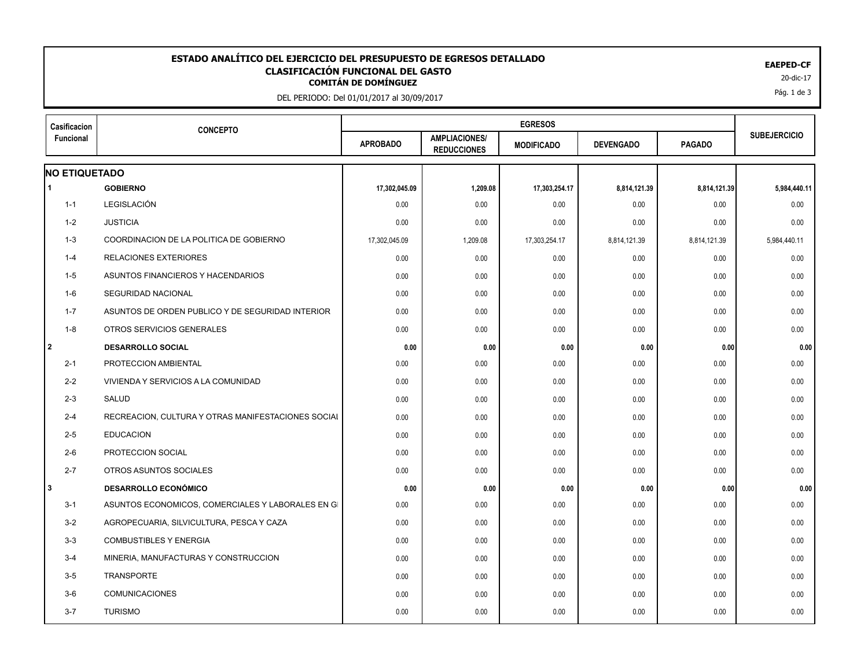## EAEPED-CF<br>**CLASIFICACIÓN FUNCIONAL DEL GASTO**<br>20-dic-17 <sup>20-dic-17</sup> **ESTADO ANALÍTICO DEL EJERCICIO DEL PRESUPUESTO DE EGRESOS DETALLADO EAEPED-CF CLASIFICACIÓN FUNCIONAL DEL GASTO**

DEL PERIODO: Del 01/01/2017 al 30/09/2017

| Casificacion<br><b>Funcional</b> | <b>CONCEPTO</b>                                    | <b>EGRESOS</b>  |                                            |                   |                  |               |                     |
|----------------------------------|----------------------------------------------------|-----------------|--------------------------------------------|-------------------|------------------|---------------|---------------------|
|                                  |                                                    | <b>APROBADO</b> | <b>AMPLIACIONES/</b><br><b>REDUCCIONES</b> | <b>MODIFICADO</b> | <b>DEVENGADO</b> | <b>PAGADO</b> | <b>SUBEJERCICIO</b> |
| <b>NO ETIQUETADO</b>             |                                                    |                 |                                            |                   |                  |               |                     |
| $\blacktriangleleft$             | <b>GOBIERNO</b>                                    | 17,302,045.09   | 1,209.08                                   | 17,303,254.17     | 8,814,121.39     | 8,814,121.39  | 5,984,440.11        |
| $1 - 1$                          | LEGISLACIÓN                                        | 0.00            | 0.00                                       | 0.00              | 0.00             | 0.00          | 0.00                |
| 1-2                              | <b>JUSTICIA</b>                                    | 0.00            | 0.00                                       | 0.00              | 0.00             | 0.00          | 0.00                |
| $1 - 3$                          | COORDINACION DE LA POLITICA DE GOBIERNO            | 17,302,045.09   | 1,209.08                                   | 17,303,254.17     | 8,814,121.39     | 8,814,121.39  | 5,984,440.11        |
| $1 - 4$                          | RELACIONES EXTERIORES                              | 0.00            | 0.00                                       | 0.00              | 0.00             | 0.00          | 0.00                |
| $1 - 5$                          | ASUNTOS FINANCIEROS Y HACENDARIOS                  | 0.00            | 0.00                                       | 0.00              | 0.00             | 0.00          | 0.00                |
| 1-6                              | SEGURIDAD NACIONAL                                 | 0.00            | 0.00                                       | 0.00              | 0.00             | 0.00          | 0.00                |
| $1 - 7$                          | ASUNTOS DE ORDEN PUBLICO Y DE SEGURIDAD INTERIOR   | 0.00            | 0.00                                       | 0.00              | 0.00             | 0.00          | 0.00                |
| $1 - 8$                          | OTROS SERVICIOS GENERALES                          | 0.00            | 0.00                                       | 0.00              | 0.00             | 0.00          | 0.00                |
| 2                                | <b>DESARROLLO SOCIAL</b>                           | 0.00            | 0.00                                       | 0.00              | 0.00             | 0.00          | 0.00                |
| $2 - 1$                          | PROTECCION AMBIENTAL                               | 0.00            | 0.00                                       | 0.00              | 0.00             | 0.00          | 0.00                |
| $2 - 2$                          | VIVIENDA Y SERVICIOS A LA COMUNIDAD                | 0.00            | 0.00                                       | 0.00              | 0.00             | 0.00          | 0.00                |
| $2 - 3$                          | <b>SALUD</b>                                       | 0.00            | 0.00                                       | 0.00              | 0.00             | 0.00          | 0.00                |
| $2 - 4$                          | RECREACION, CULTURA Y OTRAS MANIFESTACIONES SOCIAL | 0.00            | 0.00                                       | 0.00              | 0.00             | 0.00          | 0.00                |
| $2 - 5$                          | <b>EDUCACION</b>                                   | 0.00            | 0.00                                       | 0.00              | 0.00             | 0.00          | 0.00                |
| $2 - 6$                          | PROTECCION SOCIAL                                  | 0.00            | 0.00                                       | 0.00              | 0.00             | 0.00          | 0.00                |
| $2 - 7$                          | OTROS ASUNTOS SOCIALES                             | 0.00            | 0.00                                       | 0.00              | 0.00             | 0.00          | 0.00                |
| 3                                | <b>DESARROLLO ECONÓMICO</b>                        | 0.00            | 0.00                                       | 0.00              | 0.00             | 0.00          | 0.00                |
| $3 - 1$                          | ASUNTOS ECONOMICOS, COMERCIALES Y LABORALES EN GI  | 0.00            | 0.00                                       | 0.00              | 0.00             | 0.00          | 0.00                |
| $3 - 2$                          | AGROPECUARIA, SILVICULTURA, PESCA Y CAZA           | 0.00            | 0.00                                       | 0.00              | 0.00             | 0.00          | 0.00                |
| $3-3$                            | <b>COMBUSTIBLES Y ENERGIA</b>                      | 0.00            | 0.00                                       | 0.00              | 0.00             | 0.00          | 0.00                |
| $3 - 4$                          | MINERIA, MANUFACTURAS Y CONSTRUCCION               | 0.00            | 0.00                                       | 0.00              | 0.00             | 0.00          | 0.00                |
| $3 - 5$                          | TRANSPORTE                                         | 0.00            | 0.00                                       | 0.00              | 0.00             | 0.00          | 0.00                |
| $3-6$                            | <b>COMUNICACIONES</b>                              | 0.00            | 0.00                                       | 0.00              | 0.00             | 0.00          | 0.00                |
| $3 - 7$                          | <b>TURISMO</b>                                     | 0.00            | 0.00                                       | 0.00              | 0.00             | 0.00          | 0.00                |

Pág. 1 de 3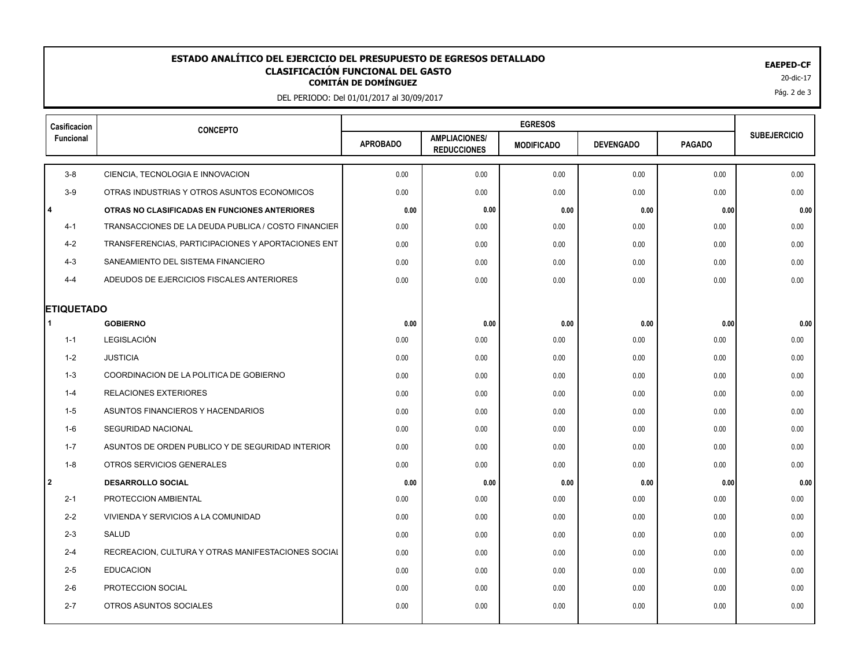## EAEPED-CF<br>**CLASIFICACIÓN FUNCIONAL DEL GASTO**<br>20-dic-17 <sup>20-dic-17</sup> **ESTADO ANALÍTICO DEL EJERCICIO DEL PRESUPUESTO DE EGRESOS DETALLADO EAEPED-CF CLASIFICACIÓN FUNCIONAL DEL GASTO**

DEL PERIODO: Del 01/01/2017 al 30/09/2017

| Casificacion      | <b>CONCEPTO</b>                                     | <b>EGRESOS</b>  |                                            |                   |                  |               |                     |
|-------------------|-----------------------------------------------------|-----------------|--------------------------------------------|-------------------|------------------|---------------|---------------------|
| Funcional         |                                                     | <b>APROBADO</b> | <b>AMPLIACIONES/</b><br><b>REDUCCIONES</b> | <b>MODIFICADO</b> | <b>DEVENGADO</b> | <b>PAGADO</b> | <b>SUBEJERCICIO</b> |
| $3 - 8$           | CIENCIA, TECNOLOGIA E INNOVACION                    | 0.00            | 0.00                                       | 0.00              | 0.00             | 0.00          | 0.00                |
| $3-9$             | OTRAS INDUSTRIAS Y OTROS ASUNTOS ECONOMICOS         | 0.00            | 0.00                                       | 0.00              | 0.00             | 0.00          | 0.00                |
| l 4               | OTRAS NO CLASIFICADAS EN FUNCIONES ANTERIORES       | 0.00            | 0.00                                       | 0.00              | 0.00             | 0.00          | 0.00                |
| $4 - 1$           | TRANSACCIONES DE LA DEUDA PUBLICA / COSTO FINANCIER | 0.00            | 0.00                                       | 0.00              | 0.00             | 0.00          | 0.00                |
| $4 - 2$           | TRANSFERENCIAS, PARTICIPACIONES Y APORTACIONES ENT  | 0.00            | 0.00                                       | 0.00              | 0.00             | 0.00          | 0.00                |
| $4 - 3$           | SANEAMIENTO DEL SISTEMA FINANCIERO                  | 0.00            | 0.00                                       | 0.00              | 0.00             | 0.00          | 0.00                |
| $4 - 4$           | ADEUDOS DE EJERCICIOS FISCALES ANTERIORES           | 0.00            | 0.00                                       | 0.00              | 0.00             | 0.00          | 0.00                |
| <b>ETIQUETADO</b> |                                                     |                 |                                            |                   |                  |               |                     |
| -1                | <b>GOBIERNO</b>                                     | 0.00            | 0.00                                       | 0.00              | 0.00             | 0.00          | 0.00                |
| $1 - 1$           | LEGISLACIÓN                                         | 0.00            | 0.00                                       | 0.00              | 0.00             | 0.00          | 0.00                |
| 1-2               | <b>JUSTICIA</b>                                     | 0.00            | 0.00                                       | 0.00              | 0.00             | 0.00          | 0.00                |
| $1 - 3$           | COORDINACION DE LA POLITICA DE GOBIERNO             | 0.00            | 0.00                                       | 0.00              | 0.00             | 0.00          | 0.00                |
| $1 - 4$           | <b>RELACIONES EXTERIORES</b>                        | 0.00            | 0.00                                       | 0.00              | 0.00             | 0.00          | 0.00                |
| 1-5               | ASUNTOS FINANCIEROS Y HACENDARIOS                   | 0.00            | 0.00                                       | 0.00              | 0.00             | 0.00          | 0.00                |
| 1-6               | SEGURIDAD NACIONAL                                  | 0.00            | 0.00                                       | 0.00              | 0.00             | 0.00          | 0.00                |
| $1 - 7$           | ASUNTOS DE ORDEN PUBLICO Y DE SEGURIDAD INTERIOR    | 0.00            | 0.00                                       | 0.00              | 0.00             | 0.00          | 0.00                |
| $1 - 8$           | OTROS SERVICIOS GENERALES                           | 0.00            | 0.00                                       | 0.00              | 0.00             | 0.00          | 0.00                |
| l 2               | <b>DESARROLLO SOCIAL</b>                            | 0.00            | 0.00                                       | 0.00              | 0.00             | 0.00          | 0.00                |
| $2 - 1$           | PROTECCION AMBIENTAL                                | 0.00            | 0.00                                       | 0.00              | 0.00             | 0.00          | 0.00                |
| $2 - 2$           | VIVIENDA Y SERVICIOS A LA COMUNIDAD                 | 0.00            | 0.00                                       | 0.00              | 0.00             | 0.00          | 0.00                |
| $2 - 3$           | SALUD                                               | 0.00            | 0.00                                       | 0.00              | 0.00             | 0.00          | 0.00                |
| $2 - 4$           | RECREACION, CULTURA Y OTRAS MANIFESTACIONES SOCIAL  | 0.00            | 0.00                                       | 0.00              | 0.00             | 0.00          | 0.00                |
| $2 - 5$           | <b>EDUCACION</b>                                    | 0.00            | 0.00                                       | 0.00              | 0.00             | 0.00          | 0.00                |
| $2-6$             | PROTECCION SOCIAL                                   | 0.00            | 0.00                                       | 0.00              | 0.00             | 0.00          | 0.00                |
| $2 - 7$           | OTROS ASUNTOS SOCIALES                              | 0.00            | 0.00                                       | 0.00              | 0.00             | 0.00          | 0.00                |
|                   |                                                     |                 |                                            |                   |                  |               |                     |

Pág. 2 de 3